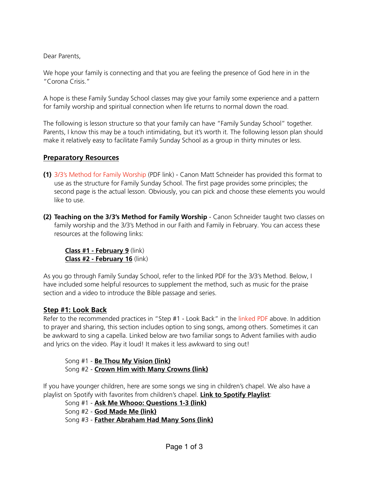Dear Parents,

We hope your family is connecting and that you are feeling the presence of God here in in the "Corona Crisis."

A hope is these Family Sunday School classes may give your family some experience and a pattern for family worship and spiritual connection when life returns to normal down the road.

The following is lesson structure so that your family can have "Family Sunday School" together. Parents, I know this may be a touch intimidating, but it's worth it. The following lesson plan should make it relatively easy to facilitate Family Sunday School as a group in thirty minutes or less.

# **Preparatory Resources**

- **(1)** 3/3's Method for Family Worship (PDF link) Canon Matt Schneider has provided this format to use as the structure for Family Sunday School. The first page provides some principles; the second page is the actual lesson. Obviously, you can pick and choose these elements you would like to use.
- **(2) Teaching on the 3/3's Method for Family Worship** Canon Schneider taught two classes on family worship and the 3/3's Method in our Faith and Family in February. You can access these resources at the following links:

**[Class #1 - February 9](https://soundcloud.com/cathedraladvent/faith-and-family-threethirds)** (link) **[Class #2 - February 16](https://soundcloud.com/cathedraladvent/faith-and-family-threethirds-format-for-family-worship-part-2-of-2)** (link)

As you go through Family Sunday School, refer to the linked PDF for the 3/3's Method. Below, I have included some helpful resources to supplement the method, such as music for the praise section and a video to introduce the Bible passage and series.

## **Step #1: Look Back**

Refer to the recommended practices in "Step #1 - Look Back" in the linked PDF above. In addition to prayer and sharing, this section includes option to sing songs, among others. Sometimes it can be awkward to sing a capella. Linked below are two familiar songs to Advent families with audio and lyrics on the video. Play it loud! It makes it less awkward to sing out!

 Song #1 - **[Be Thou My Vision \(link\)](https://www.youtube.com/watch?v=jIMhshpf0Y4)** Song #2 - **[Crown Him with Many Crowns \(link\)](https://www.youtube.com/watch?v=YuMh_ept-Js)**

If you have younger children, here are some songs we sing in children's chapel. We also have a playlist on Spotify with favorites from children's chapel. **[Link to Spotify Playlist](https://open.spotify.com/playlist/04NcPlXz8eAfJENb53HJIt?si=aZg84LfnTWC4CzMvJBlaKQ)**:

Song #1 - **[Ask Me Whooo: Questions 1-3 \(link\)](https://www.youtube.com/watch?v=GDeY9TgKJXI)**

Song #2 - **[God Made Me \(link\)](https://www.youtube.com/watch?v=vxtHWhFuyws)**

Song #3 - **[Father Abraham Had Many Sons \(link\)](https://www.youtube.com/watch?v=y3DjT6kS4-4)**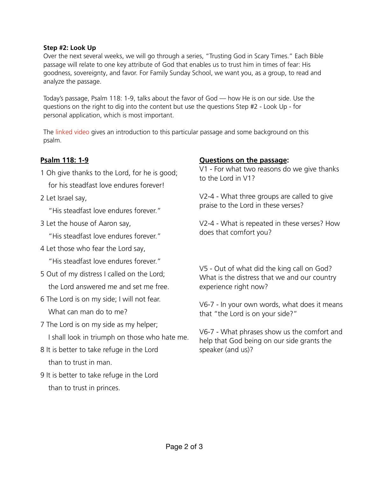### **Step #2: Look Up**

Over the next several weeks, we will go through a series, "Trusting God in Scary Times." Each Bible passage will relate to one key attribute of God that enables us to trust him in times of fear: His goodness, sovereignty, and favor. For Family Sunday School, we want you, as a group, to read and analyze the passage.

Today's passage, Psalm 118: 1-9, talks about the favor of God — how He is on our side. Use the questions on the right to dig into the content but use the questions Step #2 - Look Up - for personal application, which is most important.

The linked video gives an introduction to this particular passage and some background on this psalm.

### **Psalm 118: 1-9**

- 1 Oh give thanks to the Lord, for he is good; for his steadfast love endures forever!
- 2 Let Israel say,

"His steadfast love endures forever."

3 Let the house of Aaron say,

"His steadfast love endures forever."

4 Let those who fear the Lord say,

"His steadfast love endures forever."

- 5 Out of my distress I called on the Lord; the Lord answered me and set me free.
- 6 The Lord is on my side; I will not fear. What can man do to me?
- 7 The Lord is on my side as my helper; I shall look in triumph on those who hate me.
- 8 It is better to take refuge in the Lord than to trust in man.
- 9 It is better to take refuge in the Lord than to trust in princes.

### **Questions on the passage:**

V1 - For what two reasons do we give thanks to the Lord in V1?

V2-4 - What three groups are called to give praise to the Lord in these verses?

V2-4 - What is repeated in these verses? How does that comfort you?

V5 - Out of what did the king call on God? What is the distress that we and our country experience right now?

V6-7 - In your own words, what does it means that "the Lord is on your side?"

V6-7 - What phrases show us the comfort and help that God being on our side grants the speaker (and us)?